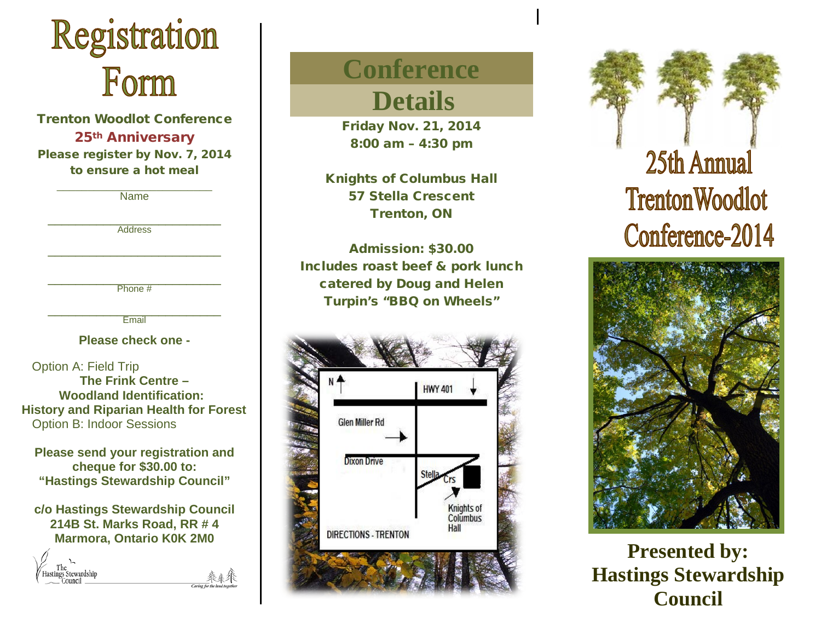

Trenton Woodlot Conference 25th Anniversary Please register by Nov. 7, 2014 to ensure a hot meal

| Name                                          |
|-----------------------------------------------|
|                                               |
| <b>Address</b>                                |
|                                               |
|                                               |
| Phone #                                       |
| Email                                         |
| Please check one -                            |
| <b>Option A: Field Trip</b>                   |
| The Frink Centre -                            |
| <b>Woodland Identification:</b>               |
| <b>History and Riparian Health for Forest</b> |
| <b>Option B: Indoor Sessions</b>              |

**Please send your registration and cheque for \$30.00 to: "Hastings Stewardship Council"**

**c/o Hastings Stewardship Council 214B St. Marks Road, RR # 4 Marmora, Ontario K0K 2M0**



# **Conference**

 **Details**

Friday Nov. 21, 2014 8:00 am – 4:30 pm

Knights of Columbus Hall 57 Stella Crescent Trenton, ON

Admission: \$30.00 Includes roast beef & pork lunch catered by Doug and Helen Turpin's "BBQ on Wheels"







**Presented by: Hastings Stewardship Council**